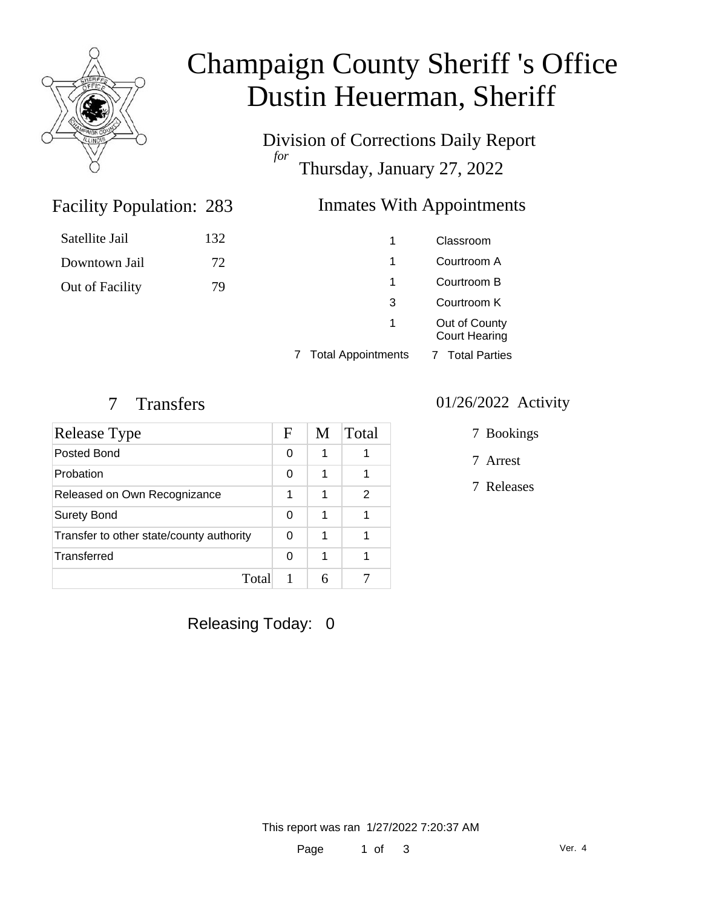

# Champaign County Sheriff 's Office Dustin Heuerman, Sheriff

Division of Corrections Daily Report *for* Thursday, January 27, 2022

## Inmates With Appointments

| Satellite Jail  | 132 | 1 | Classroom                             |
|-----------------|-----|---|---------------------------------------|
| Downtown Jail   | 72  | 1 | Courtroom A                           |
| Out of Facility | 79  |   | Courtroom B                           |
|                 |     | 3 | Courtroom K                           |
|                 |     | 1 | Out of County<br><b>Court Hearing</b> |

7 Total Appointments 7 Total Parties

#### 7 Transfers 01/26/2022 Activity

Facility Population: 283

| Release Type                             | F | M | Total |
|------------------------------------------|---|---|-------|
| Posted Bond                              | 0 |   |       |
| Probation                                | 0 | 1 |       |
| Released on Own Recognizance             | 1 | 1 | 2     |
| <b>Surety Bond</b>                       | ∩ | 1 |       |
| Transfer to other state/county authority |   | 1 |       |
| Transferred                              | ∩ | 1 |       |
| Total                                    |   |   |       |

- 7 Bookings
- 7 Arrest
- 7 Releases

Releasing Today: 0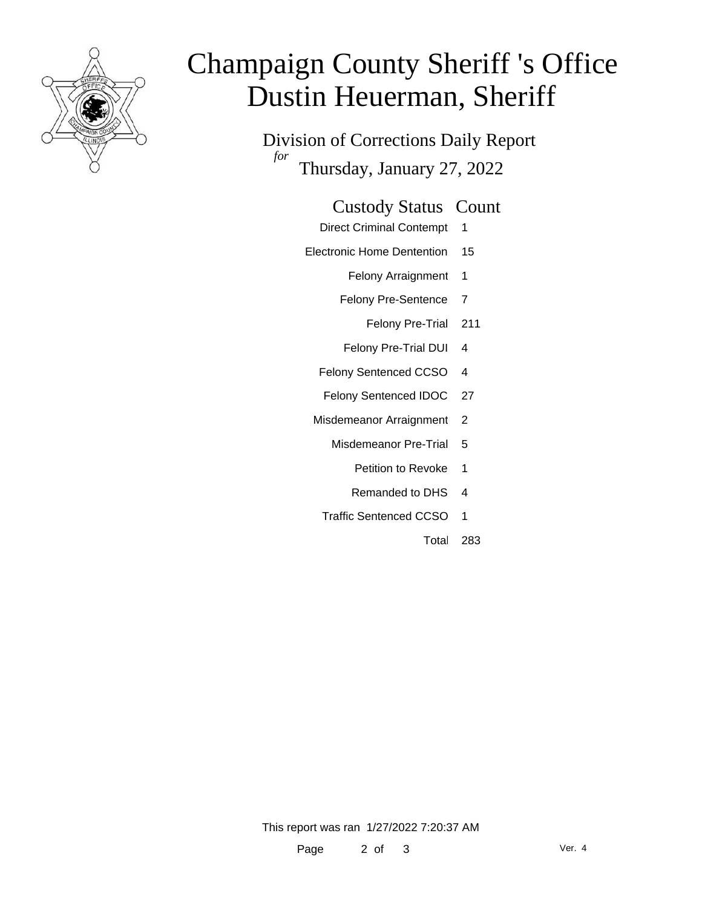

# Champaign County Sheriff 's Office Dustin Heuerman, Sheriff

Division of Corrections Daily Report *for* Thursday, January 27, 2022

#### Custody Status Count

- Direct Criminal Contempt 1
- Electronic Home Dentention 15
	- Felony Arraignment 1
	- Felony Pre-Sentence 7
		- Felony Pre-Trial 211
	- Felony Pre-Trial DUI 4
	- Felony Sentenced CCSO 4
	- Felony Sentenced IDOC 27
	- Misdemeanor Arraignment 2
		- Misdemeanor Pre-Trial 5
			- Petition to Revoke 1
			- Remanded to DHS 4
		- Traffic Sentenced CCSO 1
			- Total 283

This report was ran 1/27/2022 7:20:37 AM